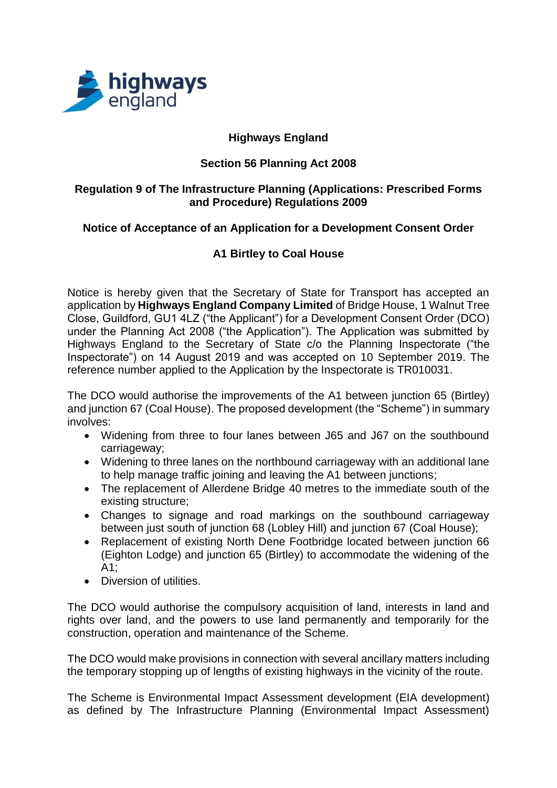

# **Highways England**

### **Section 56 Planning Act 2008**

#### **Regulation 9 of The Infrastructure Planning (Applications: Prescribed Forms and Procedure) Regulations 2009**

### **Notice of Acceptance of an Application for a Development Consent Order**

# **A1 Birtley to Coal House**

Notice is hereby given that the Secretary of State for Transport has accepted an application by **Highways England Company Limited** of Bridge House, 1 Walnut Tree Close, Guildford, GU1 4LZ ("the Applicant") for a Development Consent Order (DCO) under the Planning Act 2008 ("the Application"). The Application was submitted by Highways England to the Secretary of State c/o the Planning Inspectorate ("the Inspectorate") on 14 August 2019 and was accepted on 10 September 2019. The reference number applied to the Application by the Inspectorate is TR010031.

The DCO would authorise the improvements of the A1 between junction 65 (Birtley) and junction 67 (Coal House). The proposed development (the "Scheme") in summary involves:

- Widening from three to four lanes between J65 and J67 on the southbound carriageway;
- Widening to three lanes on the northbound carriageway with an additional lane to help manage traffic joining and leaving the A1 between junctions;
- The replacement of Allerdene Bridge 40 metres to the immediate south of the existing structure;
- Changes to signage and road markings on the southbound carriageway between just south of junction 68 (Lobley Hill) and junction 67 (Coal House);
- Replacement of existing North Dene Footbridge located between junction 66 (Eighton Lodge) and junction 65 (Birtley) to accommodate the widening of the A1;
- Diversion of utilities.

The DCO would authorise the compulsory acquisition of land, interests in land and rights over land, and the powers to use land permanently and temporarily for the construction, operation and maintenance of the Scheme.

The DCO would make provisions in connection with several ancillary matters including the temporary stopping up of lengths of existing highways in the vicinity of the route.

The Scheme is Environmental Impact Assessment development (EIA development) as defined by The Infrastructure Planning (Environmental Impact Assessment)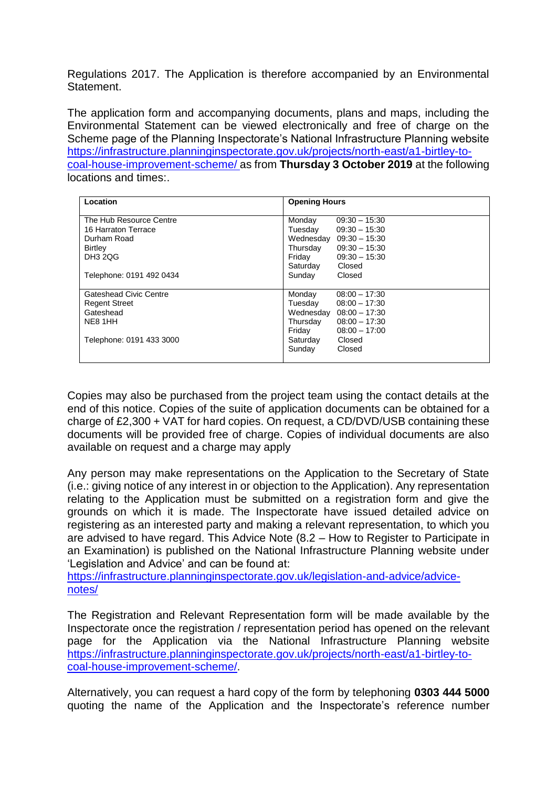Regulations 2017. The Application is therefore accompanied by an Environmental Statement.

The application form and accompanying documents, plans and maps, including the Environmental Statement can be viewed electronically and free of charge on the Scheme page of the Planning Inspectorate's National Infrastructure Planning website [https://infrastructure.planninginspectorate.gov.uk/projects/north-east/a1-birtley-to](https://infrastructure.planninginspectorate.gov.uk/projects/north-east/a1-birtley-to-coal-house-improvement-scheme/)[coal-house-improvement-scheme/](https://infrastructure.planninginspectorate.gov.uk/projects/north-east/a1-birtley-to-coal-house-improvement-scheme/) as from **Thursday 3 October 2019** at the following locations and times:.

| Location                 | <b>Opening Hours</b>         |
|--------------------------|------------------------------|
| The Hub Resource Centre  | Monday<br>$09:30 - 15:30$    |
| 16 Harraton Terrace      | Tuesday<br>$09:30 - 15:30$   |
| Durham Road              | Wednesday 09:30 - 15:30      |
| <b>Birtley</b>           | Thursday<br>$09:30 - 15:30$  |
| <b>DH3 2QG</b>           | Friday<br>$09:30 - 15:30$    |
|                          | Saturday<br>Closed           |
| Telephone: 0191 492 0434 | Sunday<br>Closed             |
|                          |                              |
| Gateshead Civic Centre   | Monday<br>$08:00 - 17:30$    |
| <b>Regent Street</b>     | Tuesday<br>$08:00 - 17:30$   |
| Gateshead                | Wednesday<br>$08:00 - 17:30$ |
| NE8 1HH                  | Thursday<br>$08:00 - 17:30$  |
|                          | Friday<br>$08:00 - 17:00$    |
| Telephone: 0191 433 3000 | Saturday<br>Closed           |
|                          | Sunday<br>Closed             |
|                          |                              |

Copies may also be purchased from the project team using the contact details at the end of this notice. Copies of the suite of application documents can be obtained for a charge of £2,300 + VAT for hard copies. On request, a CD/DVD/USB containing these documents will be provided free of charge. Copies of individual documents are also available on request and a charge may apply

Any person may make representations on the Application to the Secretary of State (i.e.: giving notice of any interest in or objection to the Application). Any representation relating to the Application must be submitted on a registration form and give the grounds on which it is made. The Inspectorate have issued detailed advice on registering as an interested party and making a relevant representation, to which you are advised to have regard. This Advice Note (8.2 – How to Register to Participate in an Examination) is published on the National Infrastructure Planning website under 'Legislation and Advice' and can be found at:

[https://infrastructure.planninginspectorate.gov.uk/legislation-and-advice/advice](https://infrastructure.planninginspectorate.gov.uk/legislation-and-advice/advice-notes/)[notes/](https://infrastructure.planninginspectorate.gov.uk/legislation-and-advice/advice-notes/)

The Registration and Relevant Representation form will be made available by the Inspectorate once the registration / representation period has opened on the relevant page for the Application via the National Infrastructure Planning website [https://infrastructure.planninginspectorate.gov.uk/projects/north-east/a1-birtley-to](https://infrastructure.planninginspectorate.gov.uk/projects/north-east/a1-birtley-to-coal-house-improvement-scheme/)[coal-house-improvement-scheme/.](https://infrastructure.planninginspectorate.gov.uk/projects/north-east/a1-birtley-to-coal-house-improvement-scheme/)

Alternatively, you can request a hard copy of the form by telephoning **0303 444 5000** quoting the name of the Application and the Inspectorate's reference number